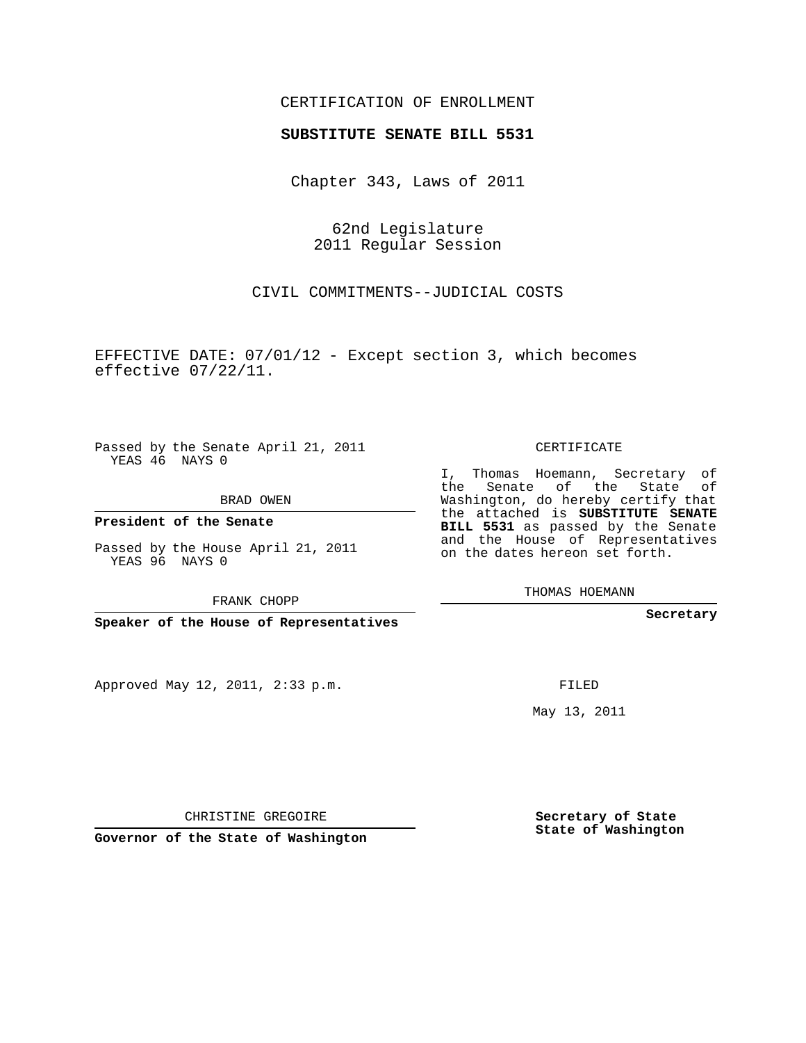## CERTIFICATION OF ENROLLMENT

## **SUBSTITUTE SENATE BILL 5531**

Chapter 343, Laws of 2011

62nd Legislature 2011 Regular Session

CIVIL COMMITMENTS--JUDICIAL COSTS

EFFECTIVE DATE: 07/01/12 - Except section 3, which becomes effective 07/22/11.

Passed by the Senate April 21, 2011 YEAS 46 NAYS 0

BRAD OWEN

**President of the Senate**

Passed by the House April 21, 2011 YEAS 96 NAYS 0

FRANK CHOPP

**Speaker of the House of Representatives**

Approved May 12, 2011, 2:33 p.m.

CERTIFICATE

I, Thomas Hoemann, Secretary of the Senate of the State of Washington, do hereby certify that the attached is **SUBSTITUTE SENATE BILL 5531** as passed by the Senate and the House of Representatives on the dates hereon set forth.

THOMAS HOEMANN

**Secretary**

FILED

May 13, 2011

**Secretary of State State of Washington**

CHRISTINE GREGOIRE

**Governor of the State of Washington**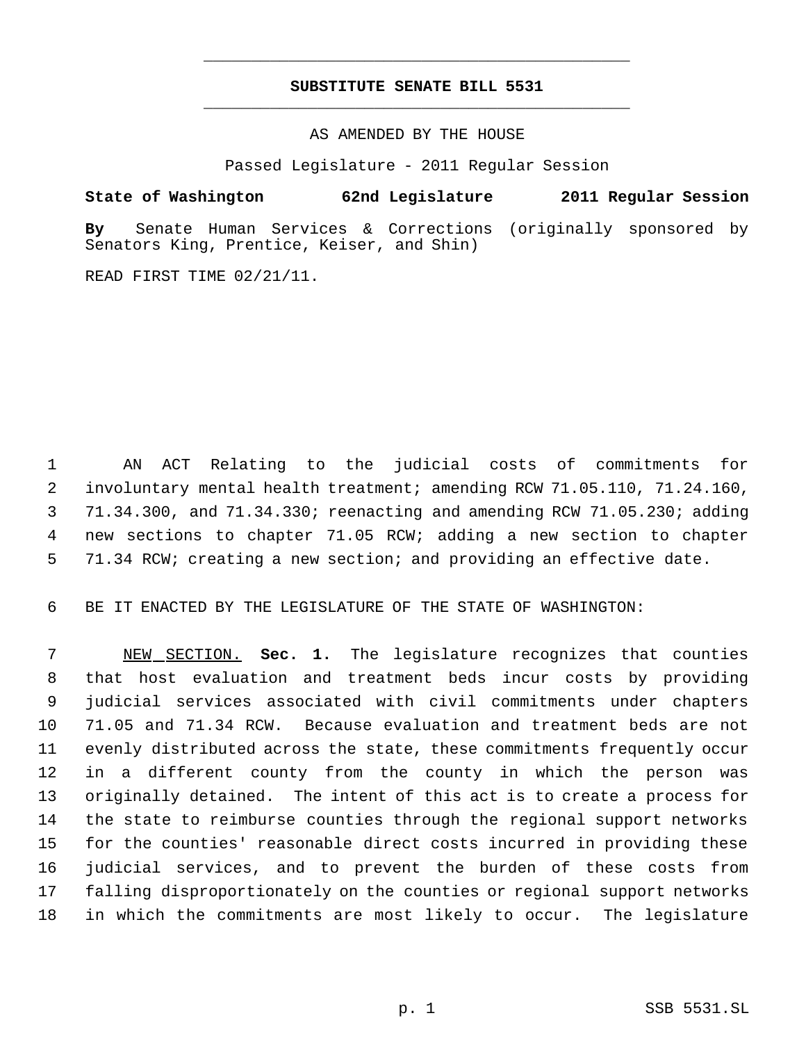## **SUBSTITUTE SENATE BILL 5531** \_\_\_\_\_\_\_\_\_\_\_\_\_\_\_\_\_\_\_\_\_\_\_\_\_\_\_\_\_\_\_\_\_\_\_\_\_\_\_\_\_\_\_\_\_

\_\_\_\_\_\_\_\_\_\_\_\_\_\_\_\_\_\_\_\_\_\_\_\_\_\_\_\_\_\_\_\_\_\_\_\_\_\_\_\_\_\_\_\_\_

AS AMENDED BY THE HOUSE

Passed Legislature - 2011 Regular Session

## **State of Washington 62nd Legislature 2011 Regular Session**

**By** Senate Human Services & Corrections (originally sponsored by Senators King, Prentice, Keiser, and Shin)

READ FIRST TIME 02/21/11.

 AN ACT Relating to the judicial costs of commitments for involuntary mental health treatment; amending RCW 71.05.110, 71.24.160, 71.34.300, and 71.34.330; reenacting and amending RCW 71.05.230; adding new sections to chapter 71.05 RCW; adding a new section to chapter 71.34 RCW; creating a new section; and providing an effective date.

BE IT ENACTED BY THE LEGISLATURE OF THE STATE OF WASHINGTON:

 NEW SECTION. **Sec. 1.** The legislature recognizes that counties that host evaluation and treatment beds incur costs by providing judicial services associated with civil commitments under chapters 71.05 and 71.34 RCW. Because evaluation and treatment beds are not evenly distributed across the state, these commitments frequently occur in a different county from the county in which the person was originally detained. The intent of this act is to create a process for the state to reimburse counties through the regional support networks for the counties' reasonable direct costs incurred in providing these judicial services, and to prevent the burden of these costs from falling disproportionately on the counties or regional support networks in which the commitments are most likely to occur. The legislature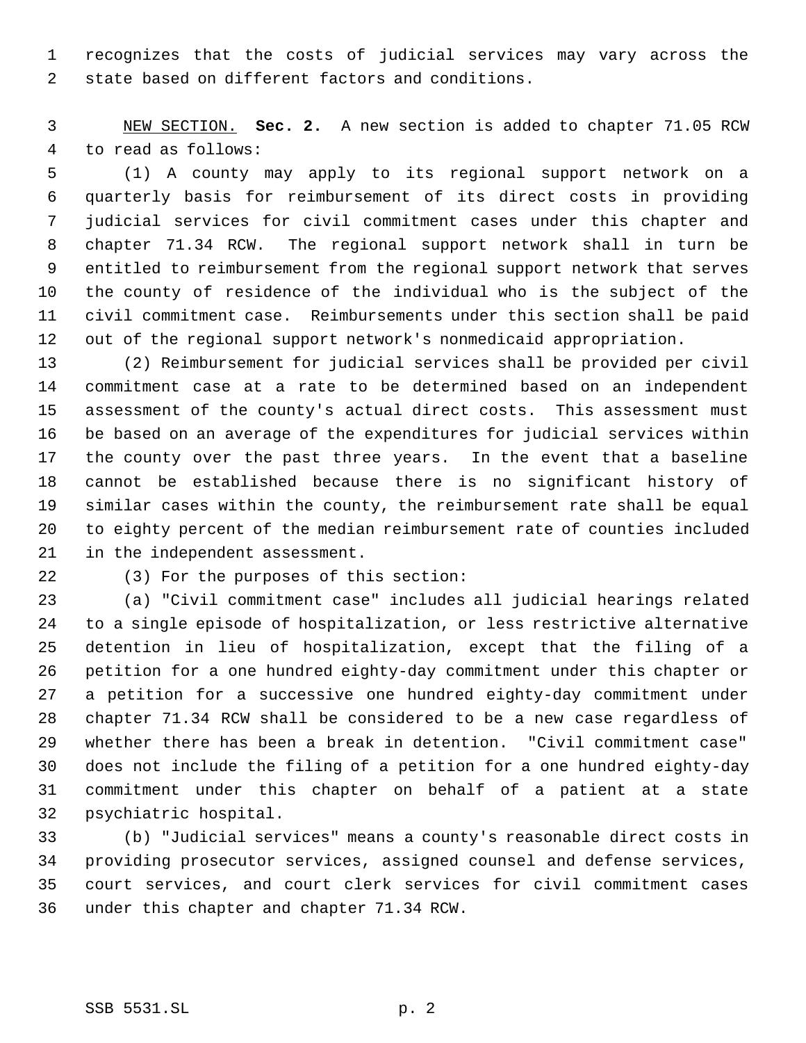recognizes that the costs of judicial services may vary across the state based on different factors and conditions.

 NEW SECTION. **Sec. 2.** A new section is added to chapter 71.05 RCW to read as follows:

 (1) A county may apply to its regional support network on a quarterly basis for reimbursement of its direct costs in providing judicial services for civil commitment cases under this chapter and chapter 71.34 RCW. The regional support network shall in turn be entitled to reimbursement from the regional support network that serves the county of residence of the individual who is the subject of the civil commitment case. Reimbursements under this section shall be paid out of the regional support network's nonmedicaid appropriation.

 (2) Reimbursement for judicial services shall be provided per civil commitment case at a rate to be determined based on an independent assessment of the county's actual direct costs. This assessment must be based on an average of the expenditures for judicial services within the county over the past three years. In the event that a baseline cannot be established because there is no significant history of similar cases within the county, the reimbursement rate shall be equal to eighty percent of the median reimbursement rate of counties included in the independent assessment.

(3) For the purposes of this section:

 (a) "Civil commitment case" includes all judicial hearings related to a single episode of hospitalization, or less restrictive alternative detention in lieu of hospitalization, except that the filing of a petition for a one hundred eighty-day commitment under this chapter or a petition for a successive one hundred eighty-day commitment under chapter 71.34 RCW shall be considered to be a new case regardless of whether there has been a break in detention. "Civil commitment case" does not include the filing of a petition for a one hundred eighty-day commitment under this chapter on behalf of a patient at a state psychiatric hospital.

 (b) "Judicial services" means a county's reasonable direct costs in providing prosecutor services, assigned counsel and defense services, court services, and court clerk services for civil commitment cases under this chapter and chapter 71.34 RCW.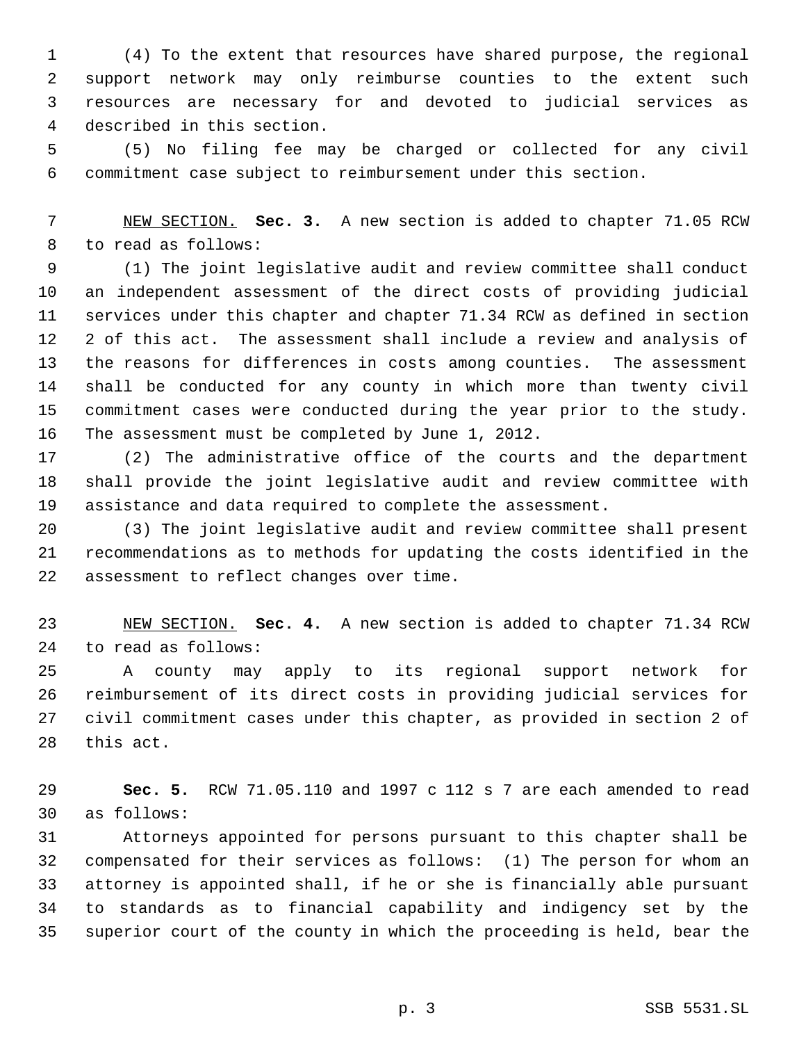(4) To the extent that resources have shared purpose, the regional support network may only reimburse counties to the extent such resources are necessary for and devoted to judicial services as described in this section.

 (5) No filing fee may be charged or collected for any civil commitment case subject to reimbursement under this section.

 NEW SECTION. **Sec. 3.** A new section is added to chapter 71.05 RCW to read as follows:

 (1) The joint legislative audit and review committee shall conduct an independent assessment of the direct costs of providing judicial services under this chapter and chapter 71.34 RCW as defined in section 2 of this act. The assessment shall include a review and analysis of the reasons for differences in costs among counties. The assessment shall be conducted for any county in which more than twenty civil commitment cases were conducted during the year prior to the study. The assessment must be completed by June 1, 2012.

 (2) The administrative office of the courts and the department shall provide the joint legislative audit and review committee with assistance and data required to complete the assessment.

 (3) The joint legislative audit and review committee shall present recommendations as to methods for updating the costs identified in the assessment to reflect changes over time.

 NEW SECTION. **Sec. 4.** A new section is added to chapter 71.34 RCW to read as follows:

 A county may apply to its regional support network for reimbursement of its direct costs in providing judicial services for civil commitment cases under this chapter, as provided in section 2 of this act.

 **Sec. 5.** RCW 71.05.110 and 1997 c 112 s 7 are each amended to read as follows:

 Attorneys appointed for persons pursuant to this chapter shall be compensated for their services as follows: (1) The person for whom an attorney is appointed shall, if he or she is financially able pursuant to standards as to financial capability and indigency set by the superior court of the county in which the proceeding is held, bear the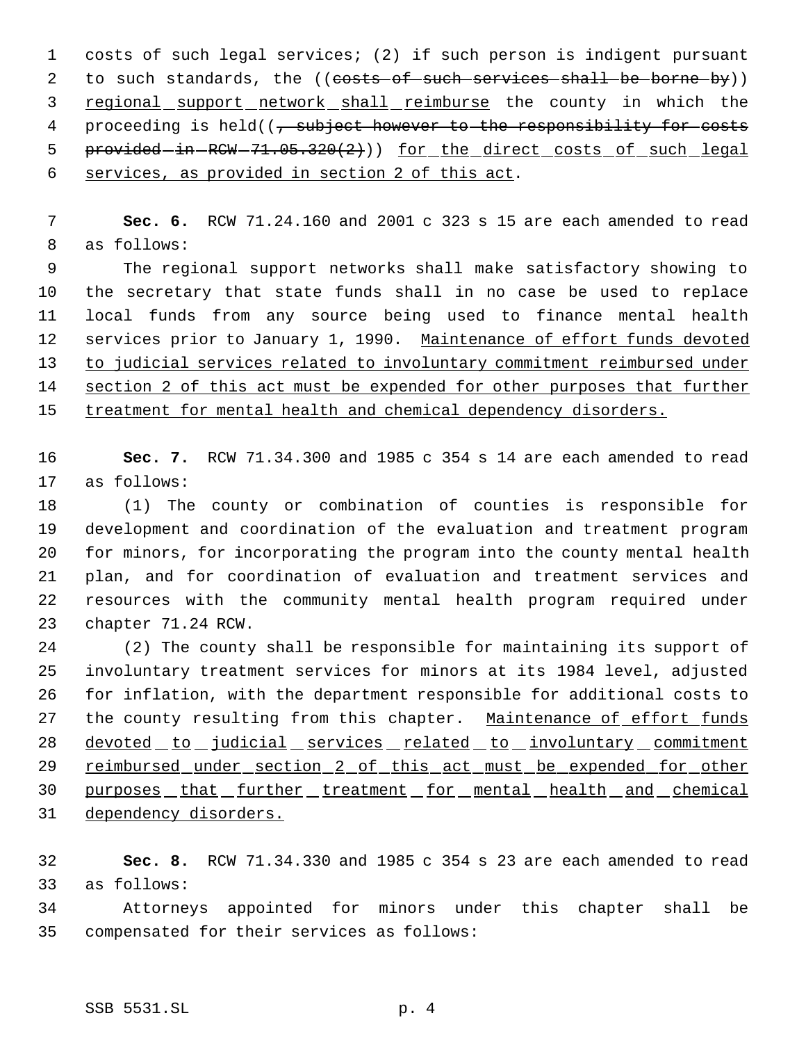costs of such legal services; (2) if such person is indigent pursuant 2 to such standards, the ((costs of such services shall be borne by)) 3 regional support network shall reimburse the county in which the 4 proceeding is held((, subject however to the responsibility for costs 5 provided-in-RCW-71.05.320(2))) for the direct costs of such legal services, as provided in section 2 of this act.

 **Sec. 6.** RCW 71.24.160 and 2001 c 323 s 15 are each amended to read as follows:

 The regional support networks shall make satisfactory showing to the secretary that state funds shall in no case be used to replace local funds from any source being used to finance mental health 12 services prior to January 1, 1990. Maintenance of effort funds devoted to judicial services related to involuntary commitment reimbursed under 14 section 2 of this act must be expended for other purposes that further 15 treatment for mental health and chemical dependency disorders.

 **Sec. 7.** RCW 71.34.300 and 1985 c 354 s 14 are each amended to read as follows:

 (1) The county or combination of counties is responsible for development and coordination of the evaluation and treatment program for minors, for incorporating the program into the county mental health plan, and for coordination of evaluation and treatment services and resources with the community mental health program required under chapter 71.24 RCW.

 (2) The county shall be responsible for maintaining its support of involuntary treatment services for minors at its 1984 level, adjusted for inflation, with the department responsible for additional costs to 27 the county resulting from this chapter. Maintenance of effort funds 28 devoted to judicial services related to involuntary commitment 29 reimbursed under section 2 of this act must be expended for other 30 purposes that further treatment for mental health and chemical dependency disorders.

 **Sec. 8.** RCW 71.34.330 and 1985 c 354 s 23 are each amended to read as follows:

 Attorneys appointed for minors under this chapter shall be compensated for their services as follows: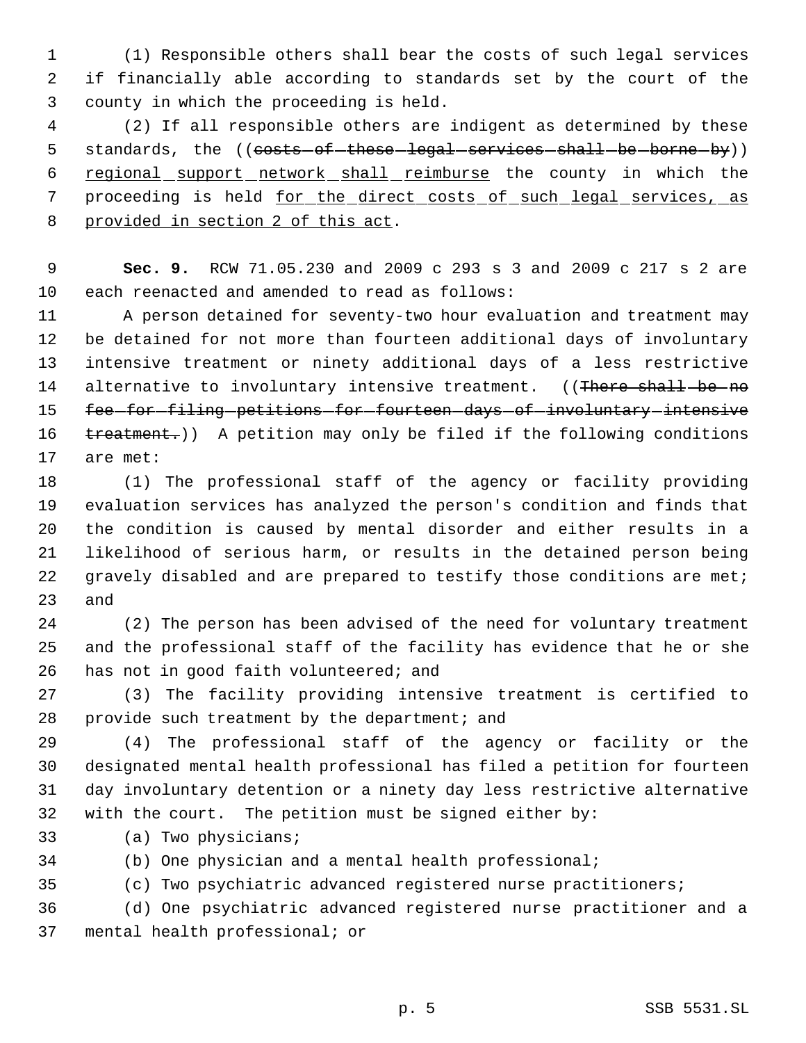(1) Responsible others shall bear the costs of such legal services if financially able according to standards set by the court of the county in which the proceeding is held.

 (2) If all responsible others are indigent as determined by these 5 standards, the ((costs-of-these-legal-services-shall-be-borne-by)) regional support network shall reimburse the county in which the 7 proceeding is held for the direct costs of such legal services, as provided in section 2 of this act.

 **Sec. 9.** RCW 71.05.230 and 2009 c 293 s 3 and 2009 c 217 s 2 are each reenacted and amended to read as follows:

 A person detained for seventy-two hour evaluation and treatment may be detained for not more than fourteen additional days of involuntary intensive treatment or ninety additional days of a less restrictive 14 alternative to involuntary intensive treatment. ((There shall be no 15 fee-for-filing-petitions-for-fourteen-days-of-involuntary-intensive 16 treatment.)) A petition may only be filed if the following conditions are met:

 (1) The professional staff of the agency or facility providing evaluation services has analyzed the person's condition and finds that the condition is caused by mental disorder and either results in a likelihood of serious harm, or results in the detained person being 22 gravely disabled and are prepared to testify those conditions are met; and

 (2) The person has been advised of the need for voluntary treatment and the professional staff of the facility has evidence that he or she has not in good faith volunteered; and

 (3) The facility providing intensive treatment is certified to 28 provide such treatment by the department; and

 (4) The professional staff of the agency or facility or the designated mental health professional has filed a petition for fourteen day involuntary detention or a ninety day less restrictive alternative with the court. The petition must be signed either by:

- (a) Two physicians;
- (b) One physician and a mental health professional;

(c) Two psychiatric advanced registered nurse practitioners;

 (d) One psychiatric advanced registered nurse practitioner and a mental health professional; or